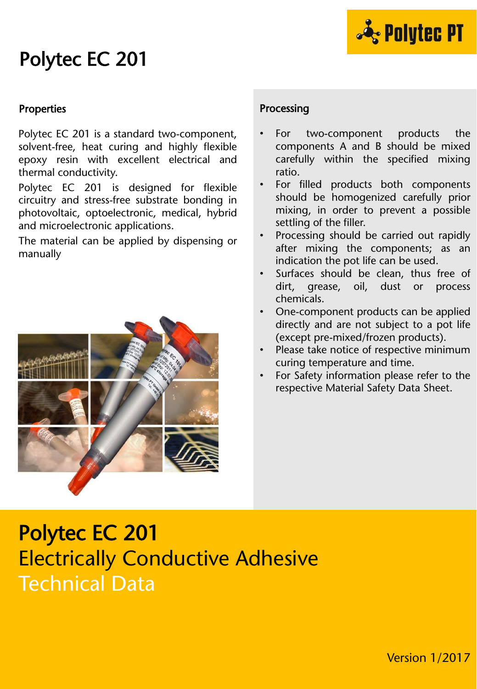

### Polytec EC 201

#### Properties

Polytec EC 201 is a standard two-component, solvent-free, heat curing and highly flexible epoxy resin with excellent electrical and thermal conductivity.

Polytec EC 201 is designed for flexible circuitry and stress-free substrate bonding in photovoltaic, optoelectronic, medical, hybrid and microelectronic applications.

The material can be applied by dispensing or manually



#### Processing

- For two-component products the components A and B should be mixed carefully within the specified mixing ratio.
- For filled products both components should be homogenized carefully prior mixing, in order to prevent a possible settling of the filler.
- Processing should be carried out rapidly after mixing the components; as an indication the pot life can be used.
- Surfaces should be clean, thus free of dirt, grease, oil, dust or process chemicals.
- One-component products can be applied directly and are not subject to a pot life (except pre-mixed/frozen products).
- Please take notice of respective minimum curing temperature and time.
- For Safety information please refer to the respective Material Safety Data Sheet.

## Polytec EC 201 Electrically Conductive Adhesive Technical Data

Version 1/2017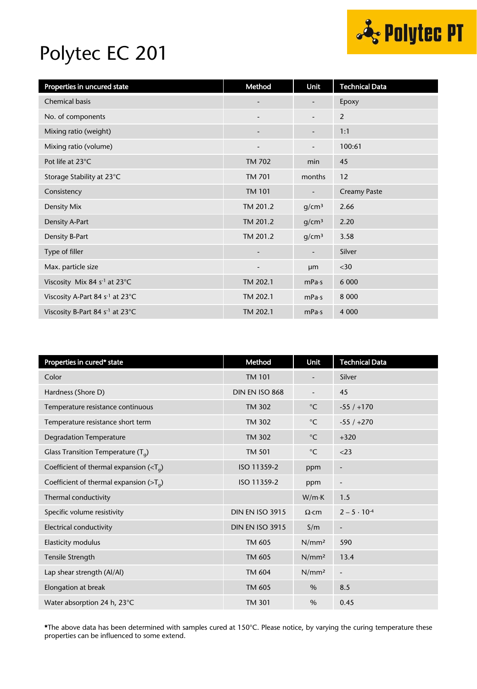

## Polytec EC 201

| Properties in uncured state                 | Method                   | Unit                     | <b>Technical Data</b> |
|---------------------------------------------|--------------------------|--------------------------|-----------------------|
| <b>Chemical basis</b>                       |                          |                          | Epoxy                 |
| No. of components                           | $\overline{\phantom{a}}$ | -                        | $\overline{2}$        |
| Mixing ratio (weight)                       | $\overline{\phantom{a}}$ | -                        | 1:1                   |
| Mixing ratio (volume)                       |                          | -                        | 100:61                |
| Pot life at 23°C                            | <b>TM 702</b>            | min                      | 45                    |
| Storage Stability at 23°C                   | <b>TM 701</b>            | months                   | 12                    |
| Consistency                                 | <b>TM 101</b>            | -                        | <b>Creamy Paste</b>   |
| Density Mix                                 | TM 201.2                 | g/cm <sup>3</sup>        | 2.66                  |
| Density A-Part                              | TM 201.2                 | g/cm <sup>3</sup>        | 2.20                  |
| Density B-Part                              | TM 201.2                 | q/cm <sup>3</sup>        | 3.58                  |
| Type of filler                              | $\overline{\phantom{a}}$ | $\overline{\phantom{0}}$ | Silver                |
| Max. particle size                          | $\overline{\phantom{a}}$ | μm                       | $<$ 30                |
| Viscosity Mix 84 s <sup>-1</sup> at 23°C    | TM 202.1                 | mPa·s                    | 6 0 0 0               |
| Viscosity A-Part 84 s <sup>-1</sup> at 23°C | TM 202.1                 | mPa·s                    | 8 0 0 0               |
| Viscosity B-Part 84 s <sup>-1</sup> at 23°C | TM 202.1                 | mPa·s                    | 4 0 0 0               |

| Properties in cured* state                 | Method                 | Unit              | <b>Technical Data</b>    |
|--------------------------------------------|------------------------|-------------------|--------------------------|
| Color                                      | <b>TM 101</b>          |                   | Silver                   |
| Hardness (Shore D)                         | DIN EN ISO 868         |                   | 45                       |
| Temperature resistance continuous          | <b>TM 302</b>          | $^{\circ}$ C      | $-55/ +170$              |
| Temperature resistance short term          | <b>TM 302</b>          | $^{\circ}{\rm C}$ | $-55/+270$               |
| <b>Degradation Temperature</b>             | <b>TM 302</b>          | $^{\circ}$ C      | $+320$                   |
| Glass Transition Temperature $(T_q)$       | <b>TM 501</b>          | $^{\circ}$ C      | $<$ 23                   |
| Coefficient of thermal expansion $(Tq)$    | ISO 11359-2            | ppm               | $\overline{\phantom{a}}$ |
| Coefficient of thermal expansion ( $>Ta$ ) | ISO 11359-2            | ppm               | $\overline{a}$           |
| Thermal conductivity                       |                        | W/mK              | 1.5                      |
| Specific volume resistivity                | <b>DIN EN ISO 3915</b> | $\Omega$ ·cm      | $2 - 5 \cdot 10^{-4}$    |
| Electrical conductivity                    | <b>DIN EN ISO 3915</b> | S/m               | $\overline{\phantom{a}}$ |
| Elasticity modulus                         | TM 605                 | N/mm <sup>2</sup> | 590                      |
| Tensile Strength                           | TM 605                 | N/mm <sup>2</sup> | 13.4                     |
| Lap shear strength (Al/Al)                 | TM 604                 | N/mm <sup>2</sup> | $\overline{\phantom{m}}$ |
| Elongation at break                        | TM 605                 | $\%$              | 8.5                      |
| Water absorption 24 h, 23°C                | <b>TM 301</b>          | %                 | 0.45                     |

\*The above data has been determined with samples cured at 150°C. Please notice, by varying the curing temperature these properties can be influenced to some extend.